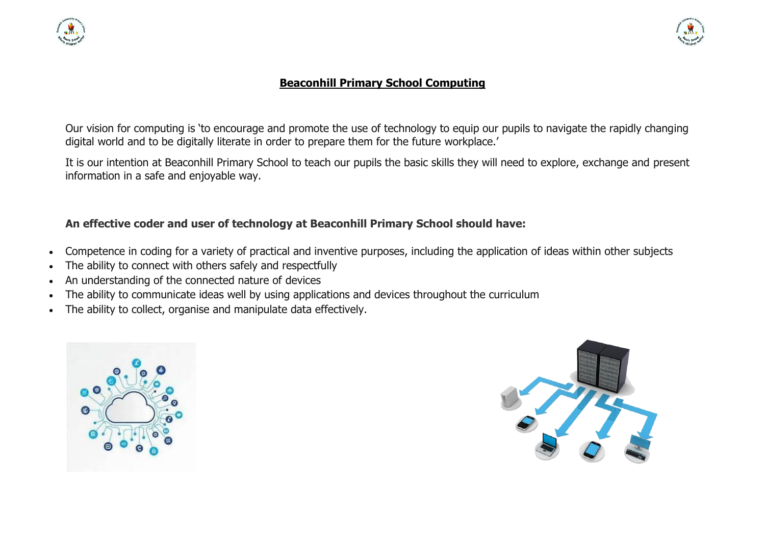



## **Beaconhill Primary School Computing**

Our vision for computing is 'to encourage and promote the use of technology to equip our pupils to navigate the rapidly changing digital world and to be digitally literate in order to prepare them for the future workplace.'

It is our intention at Beaconhill Primary School to teach our pupils the basic skills they will need to explore, exchange and present information in a safe and enjoyable way.

## **An effective coder and user of technology at Beaconhill Primary School should have:**

- Competence in coding for a variety of practical and inventive purposes, including the application of ideas within other subjects
- The ability to connect with others safely and respectfully
- An understanding of the connected nature of devices
- The ability to communicate ideas well by using applications and devices throughout the curriculum
- The ability to collect, organise and manipulate data effectively.



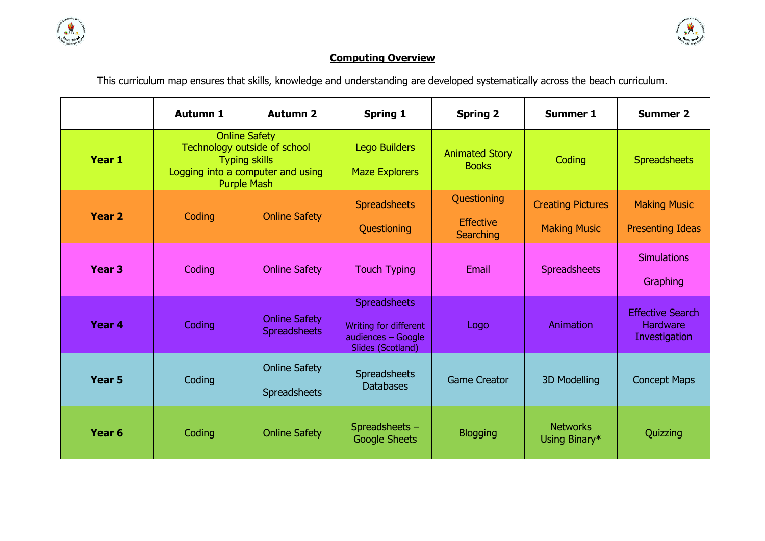



## **Computing Overview**

This curriculum map ensures that skills, knowledge and understanding are developed systematically across the beach curriculum.

|                   | <b>Autumn 1</b>                                                                                                                         | <b>Autumn 2</b>                      | <b>Spring 1</b>                                                                         | <b>Spring 2</b>                                     | <b>Summer 1</b>                                 | <b>Summer 2</b>                                      |
|-------------------|-----------------------------------------------------------------------------------------------------------------------------------------|--------------------------------------|-----------------------------------------------------------------------------------------|-----------------------------------------------------|-------------------------------------------------|------------------------------------------------------|
| Year 1            | <b>Online Safety</b><br>Technology outside of school<br><b>Typing skills</b><br>Logging into a computer and using<br><b>Purple Mash</b> |                                      | <b>Lego Builders</b><br><b>Maze Explorers</b>                                           | <b>Animated Story</b><br><b>Books</b>               | Coding                                          | <b>Spreadsheets</b>                                  |
| <b>Year 2</b>     | Coding                                                                                                                                  | <b>Online Safety</b>                 | <b>Spreadsheets</b><br>Questioning                                                      | Questioning<br><b>Effective</b><br><b>Searching</b> | <b>Creating Pictures</b><br><b>Making Music</b> | <b>Making Music</b><br><b>Presenting Ideas</b>       |
| Year <sub>3</sub> | Coding                                                                                                                                  | <b>Online Safety</b>                 | <b>Touch Typing</b>                                                                     | Email                                               | <b>Spreadsheets</b>                             | <b>Simulations</b><br>Graphing                       |
| Year 4            | <b>Online Safety</b><br>Coding<br><b>Spreadsheets</b>                                                                                   |                                      | <b>Spreadsheets</b><br>Writing for different<br>audiences - Google<br>Slides (Scotland) | Logo                                                | Animation                                       | <b>Effective Search</b><br>Hardware<br>Investigation |
| <b>Year 5</b>     | Coding                                                                                                                                  | <b>Online Safety</b><br>Spreadsheets | Spreadsheets<br><b>Databases</b>                                                        | <b>Game Creator</b>                                 | <b>3D Modelling</b>                             | <b>Concept Maps</b>                                  |
| Year <sub>6</sub> | Coding                                                                                                                                  | <b>Online Safety</b>                 | Spreadsheets -<br><b>Google Sheets</b>                                                  | <b>Blogging</b>                                     | <b>Networks</b><br>Using Binary*                | Quizzing                                             |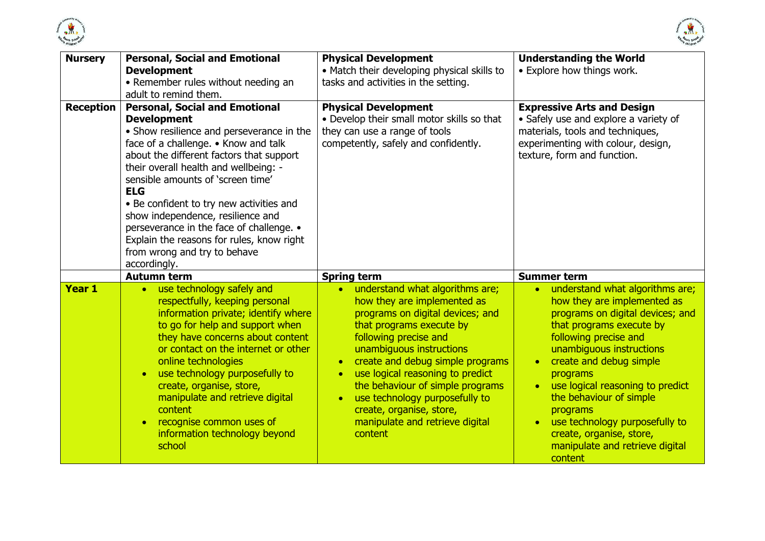



| <b>Nursery</b>                                                                                                                                                                                                                                                                                                                                                                                                                                                                                                                         | <b>Personal, Social and Emotional</b><br><b>Development</b><br>• Remember rules without needing an<br>adult to remind them.                                                                                                                                                                                                                                                                                                  | <b>Physical Development</b><br>• Match their developing physical skills to<br>tasks and activities in the setting.                                                                                                                                                                                                                                                                                                                                 | <b>Understanding the World</b><br>• Explore how things work.                                                                                                                                                                                                                                                                                                                                                                   |  |
|----------------------------------------------------------------------------------------------------------------------------------------------------------------------------------------------------------------------------------------------------------------------------------------------------------------------------------------------------------------------------------------------------------------------------------------------------------------------------------------------------------------------------------------|------------------------------------------------------------------------------------------------------------------------------------------------------------------------------------------------------------------------------------------------------------------------------------------------------------------------------------------------------------------------------------------------------------------------------|----------------------------------------------------------------------------------------------------------------------------------------------------------------------------------------------------------------------------------------------------------------------------------------------------------------------------------------------------------------------------------------------------------------------------------------------------|--------------------------------------------------------------------------------------------------------------------------------------------------------------------------------------------------------------------------------------------------------------------------------------------------------------------------------------------------------------------------------------------------------------------------------|--|
| <b>Personal, Social and Emotional</b><br><b>Reception</b><br><b>Development</b><br>• Show resilience and perseverance in the<br>face of a challenge. • Know and talk<br>about the different factors that support<br>their overall health and wellbeing: -<br>sensible amounts of 'screen time'<br><b>ELG</b><br>• Be confident to try new activities and<br>show independence, resilience and<br>perseverance in the face of challenge. •<br>Explain the reasons for rules, know right<br>from wrong and try to behave<br>accordingly. |                                                                                                                                                                                                                                                                                                                                                                                                                              | <b>Physical Development</b><br>• Develop their small motor skills so that<br>they can use a range of tools<br>competently, safely and confidently.                                                                                                                                                                                                                                                                                                 | <b>Expressive Arts and Design</b><br>• Safely use and explore a variety of<br>materials, tools and techniques,<br>experimenting with colour, design,<br>texture, form and function.                                                                                                                                                                                                                                            |  |
|                                                                                                                                                                                                                                                                                                                                                                                                                                                                                                                                        | <b>Autumn term</b>                                                                                                                                                                                                                                                                                                                                                                                                           | <b>Spring term</b>                                                                                                                                                                                                                                                                                                                                                                                                                                 | <b>Summer term</b>                                                                                                                                                                                                                                                                                                                                                                                                             |  |
| <b>Year 1</b>                                                                                                                                                                                                                                                                                                                                                                                                                                                                                                                          | • use technology safely and<br>respectfully, keeping personal<br>information private; identify where<br>to go for help and support when<br>they have concerns about content<br>or contact on the internet or other<br>online technologies<br>use technology purposefully to<br>create, organise, store,<br>manipulate and retrieve digital<br>content<br>recognise common uses of<br>information technology beyond<br>school | understand what algorithms are;<br>how they are implemented as<br>programs on digital devices; and<br>that programs execute by<br>following precise and<br>unambiguous instructions<br>create and debug simple programs<br>$\bullet$<br>use logical reasoning to predict<br>$\bullet$<br>the behaviour of simple programs<br>use technology purposefully to<br>$\bullet$<br>create, organise, store,<br>manipulate and retrieve digital<br>content | understand what algorithms are;<br>$\bullet$<br>how they are implemented as<br>programs on digital devices; and<br>that programs execute by<br>following precise and<br>unambiguous instructions<br>create and debug simple<br>programs<br>use logical reasoning to predict<br>the behaviour of simple<br>programs<br>use technology purposefully to<br>create, organise, store,<br>manipulate and retrieve digital<br>content |  |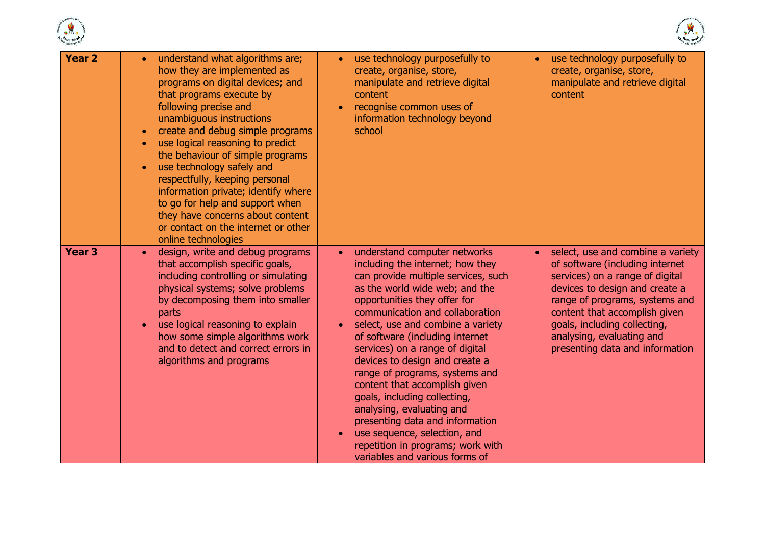



| <b>Year 2</b> | understand what algorithms are;<br>$\bullet$<br>how they are implemented as<br>programs on digital devices; and<br>that programs execute by<br>following precise and<br>unambiguous instructions<br>create and debug simple programs<br>$\bullet$<br>use logical reasoning to predict<br>$\bullet$<br>the behaviour of simple programs<br>use technology safely and<br>respectfully, keeping personal<br>information private; identify where<br>to go for help and support when<br>they have concerns about content<br>or contact on the internet or other<br>online technologies | use technology purposefully to<br>create, organise, store,<br>manipulate and retrieve digital<br>content<br>recognise common uses of<br>$\bullet$<br>information technology beyond<br>school                                                                                                                                                                                                                                                                                                                                                                                                                                                                  | use technology purposefully to<br>$\bullet$<br>create, organise, store,<br>manipulate and retrieve digital<br>content                                                                                                                                                                                        |
|---------------|-----------------------------------------------------------------------------------------------------------------------------------------------------------------------------------------------------------------------------------------------------------------------------------------------------------------------------------------------------------------------------------------------------------------------------------------------------------------------------------------------------------------------------------------------------------------------------------|---------------------------------------------------------------------------------------------------------------------------------------------------------------------------------------------------------------------------------------------------------------------------------------------------------------------------------------------------------------------------------------------------------------------------------------------------------------------------------------------------------------------------------------------------------------------------------------------------------------------------------------------------------------|--------------------------------------------------------------------------------------------------------------------------------------------------------------------------------------------------------------------------------------------------------------------------------------------------------------|
| <b>Year 3</b> | design, write and debug programs<br>$\bullet$<br>that accomplish specific goals,<br>including controlling or simulating<br>physical systems; solve problems<br>by decomposing them into smaller<br>parts<br>use logical reasoning to explain<br>$\bullet$<br>how some simple algorithms work<br>and to detect and correct errors in<br>algorithms and programs                                                                                                                                                                                                                    | understand computer networks<br>$\bullet$<br>including the internet; how they<br>can provide multiple services, such<br>as the world wide web; and the<br>opportunities they offer for<br>communication and collaboration<br>select, use and combine a variety<br>$\bullet$<br>of software (including internet<br>services) on a range of digital<br>devices to design and create a<br>range of programs, systems and<br>content that accomplish given<br>goals, including collecting,<br>analysing, evaluating and<br>presenting data and information<br>use sequence, selection, and<br>repetition in programs; work with<br>variables and various forms of | select, use and combine a variety<br>of software (including internet<br>services) on a range of digital<br>devices to design and create a<br>range of programs, systems and<br>content that accomplish given<br>goals, including collecting,<br>analysing, evaluating and<br>presenting data and information |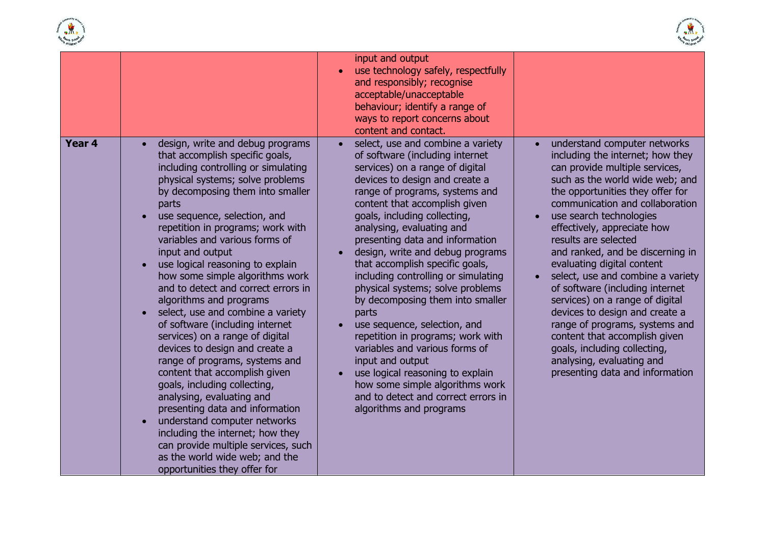



|                   |                                                                                                                                                                                                                                                                                                                                                                                                                                                                                                                                                                                                                                                                                                                                                                                                                                                                                                                                                              | input and output<br>use technology safely, respectfully<br>$\bullet$<br>and responsibly; recognise<br>acceptable/unacceptable<br>behaviour; identify a range of<br>ways to report concerns about<br>content and contact.                                                                                                                                                                                                                                                                                                                                                                                                                                                                                                                                                                                  |                                                                                                                                                                                                                                                                                                                                                                                                                                                                                                                                                                                                                                                                                  |
|-------------------|--------------------------------------------------------------------------------------------------------------------------------------------------------------------------------------------------------------------------------------------------------------------------------------------------------------------------------------------------------------------------------------------------------------------------------------------------------------------------------------------------------------------------------------------------------------------------------------------------------------------------------------------------------------------------------------------------------------------------------------------------------------------------------------------------------------------------------------------------------------------------------------------------------------------------------------------------------------|-----------------------------------------------------------------------------------------------------------------------------------------------------------------------------------------------------------------------------------------------------------------------------------------------------------------------------------------------------------------------------------------------------------------------------------------------------------------------------------------------------------------------------------------------------------------------------------------------------------------------------------------------------------------------------------------------------------------------------------------------------------------------------------------------------------|----------------------------------------------------------------------------------------------------------------------------------------------------------------------------------------------------------------------------------------------------------------------------------------------------------------------------------------------------------------------------------------------------------------------------------------------------------------------------------------------------------------------------------------------------------------------------------------------------------------------------------------------------------------------------------|
| Year <sub>4</sub> | design, write and debug programs<br>that accomplish specific goals,<br>including controlling or simulating<br>physical systems; solve problems<br>by decomposing them into smaller<br>parts<br>use sequence, selection, and<br>repetition in programs; work with<br>variables and various forms of<br>input and output<br>use logical reasoning to explain<br>how some simple algorithms work<br>and to detect and correct errors in<br>algorithms and programs<br>select, use and combine a variety<br>of software (including internet<br>services) on a range of digital<br>devices to design and create a<br>range of programs, systems and<br>content that accomplish given<br>goals, including collecting,<br>analysing, evaluating and<br>presenting data and information<br>understand computer networks<br>including the internet; how they<br>can provide multiple services, such<br>as the world wide web; and the<br>opportunities they offer for | select, use and combine a variety<br>$\bullet$<br>of software (including internet<br>services) on a range of digital<br>devices to design and create a<br>range of programs, systems and<br>content that accomplish given<br>goals, including collecting,<br>analysing, evaluating and<br>presenting data and information<br>design, write and debug programs<br>$\bullet$<br>that accomplish specific goals,<br>including controlling or simulating<br>physical systems; solve problems<br>by decomposing them into smaller<br>parts<br>use sequence, selection, and<br>repetition in programs; work with<br>variables and various forms of<br>input and output<br>use logical reasoning to explain<br>how some simple algorithms work<br>and to detect and correct errors in<br>algorithms and programs | understand computer networks<br>including the internet; how they<br>can provide multiple services,<br>such as the world wide web; and<br>the opportunities they offer for<br>communication and collaboration<br>use search technologies<br>effectively, appreciate how<br>results are selected<br>and ranked, and be discerning in<br>evaluating digital content<br>select, use and combine a variety<br>of software (including internet<br>services) on a range of digital<br>devices to design and create a<br>range of programs, systems and<br>content that accomplish given<br>goals, including collecting,<br>analysing, evaluating and<br>presenting data and information |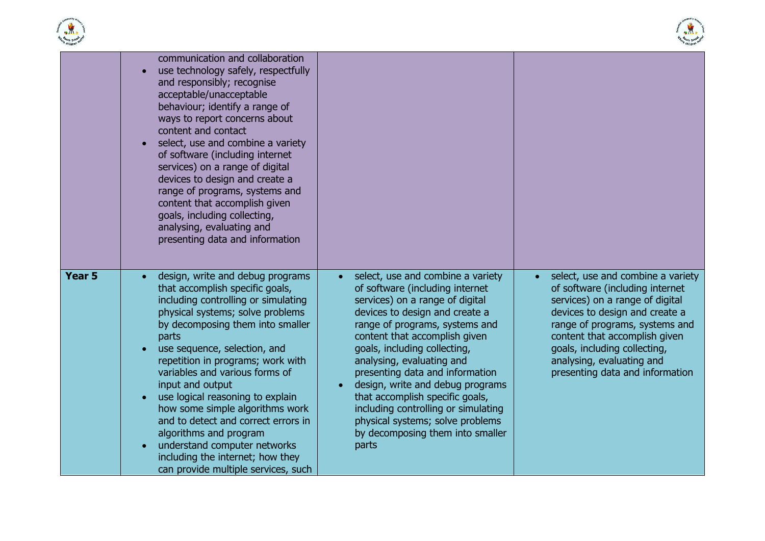



|                   | communication and collaboration<br>use technology safely, respectfully<br>and responsibly; recognise<br>acceptable/unacceptable<br>behaviour; identify a range of<br>ways to report concerns about<br>content and contact<br>select, use and combine a variety<br>of software (including internet<br>services) on a range of digital<br>devices to design and create a<br>range of programs, systems and<br>content that accomplish given<br>goals, including collecting,<br>analysing, evaluating and<br>presenting data and information                                 |                                                                                                                                                                                                                                                                                                                                                                                                                                                                                                             |                                                                                                                                                                                                                                                                                                              |
|-------------------|---------------------------------------------------------------------------------------------------------------------------------------------------------------------------------------------------------------------------------------------------------------------------------------------------------------------------------------------------------------------------------------------------------------------------------------------------------------------------------------------------------------------------------------------------------------------------|-------------------------------------------------------------------------------------------------------------------------------------------------------------------------------------------------------------------------------------------------------------------------------------------------------------------------------------------------------------------------------------------------------------------------------------------------------------------------------------------------------------|--------------------------------------------------------------------------------------------------------------------------------------------------------------------------------------------------------------------------------------------------------------------------------------------------------------|
| Year <sub>5</sub> | design, write and debug programs<br>that accomplish specific goals,<br>including controlling or simulating<br>physical systems; solve problems<br>by decomposing them into smaller<br>parts<br>use sequence, selection, and<br>repetition in programs; work with<br>variables and various forms of<br>input and output<br>use logical reasoning to explain<br>how some simple algorithms work<br>and to detect and correct errors in<br>algorithms and program<br>understand computer networks<br>including the internet; how they<br>can provide multiple services, such | select, use and combine a variety<br>of software (including internet<br>services) on a range of digital<br>devices to design and create a<br>range of programs, systems and<br>content that accomplish given<br>goals, including collecting,<br>analysing, evaluating and<br>presenting data and information<br>design, write and debug programs<br>that accomplish specific goals,<br>including controlling or simulating<br>physical systems; solve problems<br>by decomposing them into smaller<br>parts | select, use and combine a variety<br>of software (including internet<br>services) on a range of digital<br>devices to design and create a<br>range of programs, systems and<br>content that accomplish given<br>goals, including collecting,<br>analysing, evaluating and<br>presenting data and information |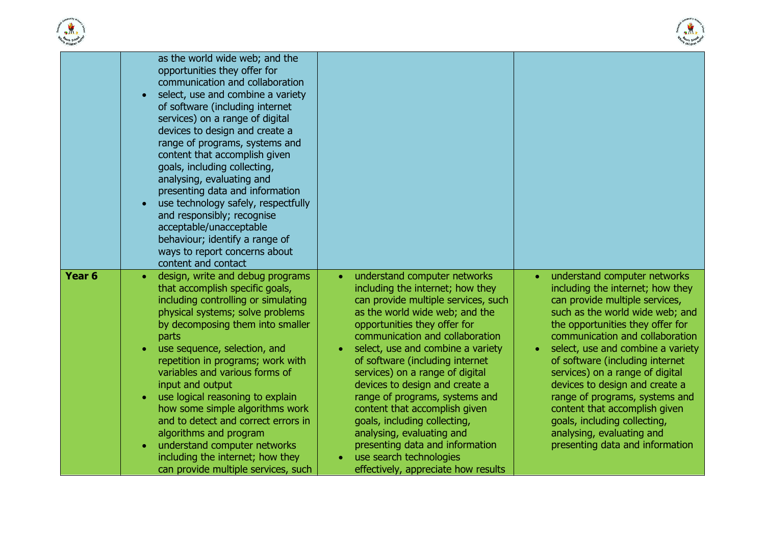



|                   | as the world wide web; and the<br>opportunities they offer for<br>communication and collaboration<br>select, use and combine a variety<br>of software (including internet<br>services) on a range of digital<br>devices to design and create a<br>range of programs, systems and<br>content that accomplish given<br>goals, including collecting,<br>analysing, evaluating and<br>presenting data and information<br>use technology safely, respectfully<br>and responsibly; recognise<br>acceptable/unacceptable<br>behaviour; identify a range of<br>ways to report concerns about<br>content and contact |                                                                                                                                                                                                                                                                                                                                                                                                                                                                                                                                                                                                                          |                                                                                                                                                                                                                                                                                                                                                                                                                                                                                                                              |
|-------------------|-------------------------------------------------------------------------------------------------------------------------------------------------------------------------------------------------------------------------------------------------------------------------------------------------------------------------------------------------------------------------------------------------------------------------------------------------------------------------------------------------------------------------------------------------------------------------------------------------------------|--------------------------------------------------------------------------------------------------------------------------------------------------------------------------------------------------------------------------------------------------------------------------------------------------------------------------------------------------------------------------------------------------------------------------------------------------------------------------------------------------------------------------------------------------------------------------------------------------------------------------|------------------------------------------------------------------------------------------------------------------------------------------------------------------------------------------------------------------------------------------------------------------------------------------------------------------------------------------------------------------------------------------------------------------------------------------------------------------------------------------------------------------------------|
| Year <sub>6</sub> | design, write and debug programs<br>that accomplish specific goals,<br>including controlling or simulating<br>physical systems; solve problems<br>by decomposing them into smaller<br>parts<br>use sequence, selection, and<br>repetition in programs; work with<br>variables and various forms of<br>input and output<br>use logical reasoning to explain<br>how some simple algorithms work<br>and to detect and correct errors in<br>algorithms and program<br>understand computer networks<br>including the internet; how they<br>can provide multiple services, such                                   | understand computer networks<br>$\bullet$<br>including the internet; how they<br>can provide multiple services, such<br>as the world wide web; and the<br>opportunities they offer for<br>communication and collaboration<br>select, use and combine a variety<br>$\bullet$<br>of software (including internet<br>services) on a range of digital<br>devices to design and create a<br>range of programs, systems and<br>content that accomplish given<br>goals, including collecting,<br>analysing, evaluating and<br>presenting data and information<br>use search technologies<br>effectively, appreciate how results | understand computer networks<br>including the internet; how they<br>can provide multiple services,<br>such as the world wide web; and<br>the opportunities they offer for<br>communication and collaboration<br>select, use and combine a variety<br>of software (including internet<br>services) on a range of digital<br>devices to design and create a<br>range of programs, systems and<br>content that accomplish given<br>goals, including collecting,<br>analysing, evaluating and<br>presenting data and information |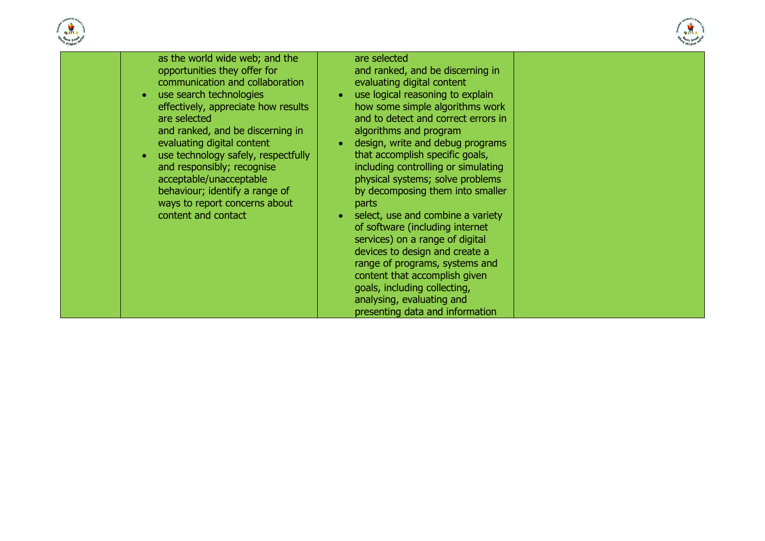



| " children                                                                                                                                                                                                                                                                                                                                                                                                                                                                |                                                                                                                                                                                                                                                                                                                                                                                                                                                                                                                                                                                                                                                                                                                                                           | <sup>e</sup> childre <sup>n</sup> |
|---------------------------------------------------------------------------------------------------------------------------------------------------------------------------------------------------------------------------------------------------------------------------------------------------------------------------------------------------------------------------------------------------------------------------------------------------------------------------|-----------------------------------------------------------------------------------------------------------------------------------------------------------------------------------------------------------------------------------------------------------------------------------------------------------------------------------------------------------------------------------------------------------------------------------------------------------------------------------------------------------------------------------------------------------------------------------------------------------------------------------------------------------------------------------------------------------------------------------------------------------|-----------------------------------|
| as the world wide web; and the<br>opportunities they offer for<br>communication and collaboration<br>use search technologies<br>$\bullet$<br>effectively, appreciate how results<br>are selected<br>and ranked, and be discerning in<br>evaluating digital content<br>use technology safely, respectfully<br>$\bullet$<br>and responsibly; recognise<br>acceptable/unacceptable<br>behaviour; identify a range of<br>ways to report concerns about<br>content and contact | are selected<br>and ranked, and be discerning in<br>evaluating digital content<br>use logical reasoning to explain<br>how some simple algorithms work<br>and to detect and correct errors in<br>algorithms and program<br>design, write and debug programs<br>$\bullet$<br>that accomplish specific goals,<br>including controlling or simulating<br>physical systems; solve problems<br>by decomposing them into smaller<br><b>parts</b><br>select, use and combine a variety<br>of software (including internet<br>services) on a range of digital<br>devices to design and create a<br>range of programs, systems and<br>content that accomplish given<br>goals, including collecting,<br>analysing, evaluating and<br>presenting data and information |                                   |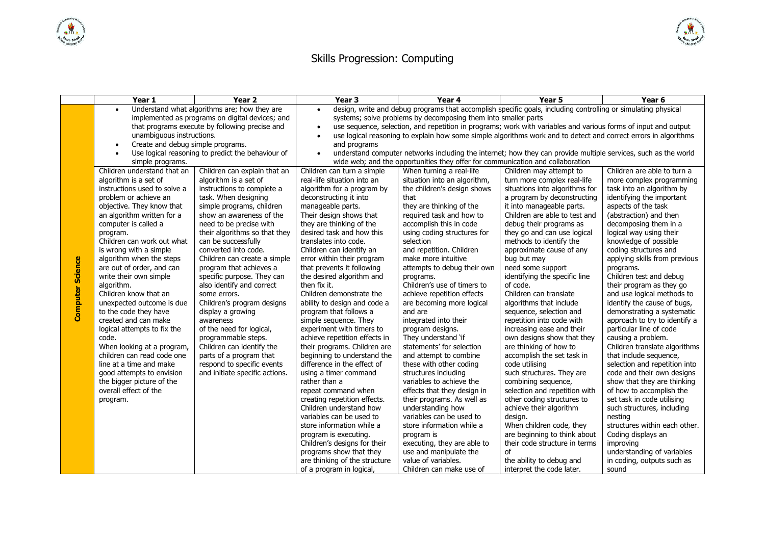

## Skills Progression: Computing

|                         | Year 1                                                   | Year 2                                          | Year <sub>3</sub>                                                                                              | Year 4                                                                                                          | Year 5                                                  | Year 6                                              |  |  |
|-------------------------|----------------------------------------------------------|-------------------------------------------------|----------------------------------------------------------------------------------------------------------------|-----------------------------------------------------------------------------------------------------------------|---------------------------------------------------------|-----------------------------------------------------|--|--|
|                         | Understand what algorithms are; how they are             |                                                 | design, write and debug programs that accomplish specific goals, including controlling or simulating physical  |                                                                                                                 |                                                         |                                                     |  |  |
|                         |                                                          | implemented as programs on digital devices; and | systems; solve problems by decomposing them into smaller parts                                                 |                                                                                                                 |                                                         |                                                     |  |  |
|                         |                                                          | that programs execute by following precise and  | use sequence, selection, and repetition in programs; work with variables and various forms of input and output |                                                                                                                 |                                                         |                                                     |  |  |
|                         | unambiguous instructions.                                |                                                 |                                                                                                                | use logical reasoning to explain how some simple algorithms work and to detect and correct errors in algorithms |                                                         |                                                     |  |  |
|                         | Create and debug simple programs.                        |                                                 | and programs                                                                                                   |                                                                                                                 |                                                         |                                                     |  |  |
|                         | Use logical reasoning to predict the behaviour of        |                                                 |                                                                                                                | understand computer networks including the internet; how they can provide multiple services, such as the world  |                                                         |                                                     |  |  |
|                         | simple programs.                                         |                                                 | wide web; and the opportunities they offer for communication and collaboration                                 |                                                                                                                 |                                                         |                                                     |  |  |
|                         | Children understand that an                              | Children can explain that an                    | Children can turn a simple                                                                                     | When turning a real-life                                                                                        | Children may attempt to                                 | Children are able to turn a                         |  |  |
|                         | algorithm is a set of                                    | algorithm is a set of                           | real-life situation into an                                                                                    | situation into an algorithm,                                                                                    | turn more complex real-life                             | more complex programming                            |  |  |
|                         | instructions used to solve a                             | instructions to complete a                      | algorithm for a program by                                                                                     | the children's design shows                                                                                     | situations into algorithms for                          | task into an algorithm by                           |  |  |
|                         | problem or achieve an                                    | task. When designing                            | deconstructing it into                                                                                         | that                                                                                                            | a program by deconstructing                             | identifying the important                           |  |  |
|                         | objective. They know that                                | simple programs, children                       | manageable parts.                                                                                              | they are thinking of the                                                                                        | it into manageable parts.                               | aspects of the task                                 |  |  |
|                         | an algorithm written for a                               | show an awareness of the                        | Their design shows that                                                                                        | required task and how to                                                                                        | Children are able to test and                           | (abstraction) and then                              |  |  |
|                         | computer is called a                                     | need to be precise with                         | they are thinking of the                                                                                       | accomplish this in code                                                                                         | debug their programs as                                 | decomposing them in a                               |  |  |
|                         | program.                                                 | their algorithms so that they                   | desired task and how this                                                                                      | using coding structures for                                                                                     | they go and can use logical                             | logical way using their                             |  |  |
|                         | Children can work out what                               | can be successfully                             | translates into code.                                                                                          | selection                                                                                                       | methods to identify the                                 | knowledge of possible                               |  |  |
|                         | is wrong with a simple                                   | converted into code.                            | Children can identify an                                                                                       | and repetition. Children                                                                                        | approximate cause of any                                | coding structures and                               |  |  |
| <b>Computer Science</b> | algorithm when the steps                                 | Children can create a simple                    | error within their program                                                                                     | make more intuitive                                                                                             | bug but may                                             | applying skills from previous                       |  |  |
|                         | are out of order, and can                                | program that achieves a                         | that prevents it following                                                                                     | attempts to debug their own                                                                                     | need some support                                       | programs.                                           |  |  |
|                         | write their own simple                                   | specific purpose. They can                      | the desired algorithm and                                                                                      | programs.                                                                                                       | identifying the specific line                           | Children test and debug                             |  |  |
|                         | algorithm.                                               | also identify and correct                       | then fix it.                                                                                                   | Children's use of timers to                                                                                     | of code.                                                | their program as they go                            |  |  |
|                         | Children know that an                                    | some errors.                                    | Children demonstrate the                                                                                       | achieve repetition effects                                                                                      | Children can translate                                  | and use logical methods to                          |  |  |
|                         | unexpected outcome is due                                | Children's program designs                      | ability to design and code a                                                                                   | are becoming more logical                                                                                       | algorithms that include                                 | identify the cause of bugs,                         |  |  |
|                         | to the code they have                                    | display a growing                               | program that follows a                                                                                         | and are                                                                                                         | sequence, selection and                                 | demonstrating a systematic                          |  |  |
|                         | created and can make                                     | awareness                                       | simple sequence. They                                                                                          | integrated into their                                                                                           | repetition into code with                               | approach to try to identify a                       |  |  |
|                         | logical attempts to fix the<br>code.                     | of the need for logical,<br>programmable steps. | experiment with timers to<br>achieve repetition effects in                                                     | program designs.<br>They understand 'if                                                                         | increasing ease and their<br>own designs show that they | particular line of code                             |  |  |
|                         |                                                          | Children can identify the                       | their programs. Children are                                                                                   | statements' for selection                                                                                       | are thinking of how to                                  | causing a problem.<br>Children translate algorithms |  |  |
|                         | When looking at a program,<br>children can read code one | parts of a program that                         | beginning to understand the                                                                                    | and attempt to combine                                                                                          | accomplish the set task in                              | that include sequence,                              |  |  |
|                         | line at a time and make                                  | respond to specific events                      | difference in the effect of                                                                                    | these with other coding                                                                                         | code utilising                                          | selection and repetition into                       |  |  |
|                         | good attempts to envision                                | and initiate specific actions.                  | using a timer command                                                                                          | structures including                                                                                            | such structures. They are                               | code and their own designs                          |  |  |
|                         | the bigger picture of the                                |                                                 | rather than a                                                                                                  | variables to achieve the                                                                                        | combining sequence,                                     | show that they are thinking                         |  |  |
|                         | overall effect of the                                    |                                                 | repeat command when                                                                                            | effects that they design in                                                                                     | selection and repetition with                           | of how to accomplish the                            |  |  |
|                         | program.                                                 |                                                 | creating repetition effects.                                                                                   | their programs. As well as                                                                                      | other coding structures to                              | set task in code utilising                          |  |  |
|                         |                                                          |                                                 | Children understand how                                                                                        | understanding how                                                                                               | achieve their algorithm                                 | such structures, including                          |  |  |
|                         |                                                          |                                                 | variables can be used to                                                                                       | variables can be used to                                                                                        | design.                                                 | nesting                                             |  |  |
|                         |                                                          |                                                 | store information while a                                                                                      | store information while a                                                                                       | When children code, they                                | structures within each other.                       |  |  |
|                         |                                                          |                                                 | program is executing.                                                                                          | program is                                                                                                      | are beginning to think about                            | Coding displays an                                  |  |  |
|                         |                                                          |                                                 | Children's designs for their                                                                                   | executing, they are able to                                                                                     | their code structure in terms                           | improving                                           |  |  |
|                         |                                                          |                                                 | programs show that they                                                                                        | use and manipulate the                                                                                          | of                                                      | understanding of variables                          |  |  |
|                         |                                                          |                                                 | are thinking of the structure                                                                                  | value of variables.                                                                                             | the ability to debug and                                | in coding, outputs such as                          |  |  |
|                         |                                                          |                                                 | of a program in logical,                                                                                       | Children can make use of                                                                                        | interpret the code later.                               | sound                                               |  |  |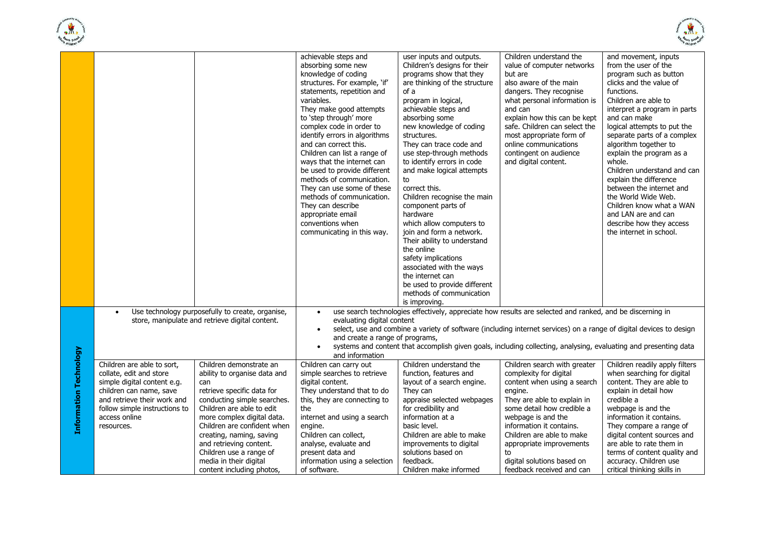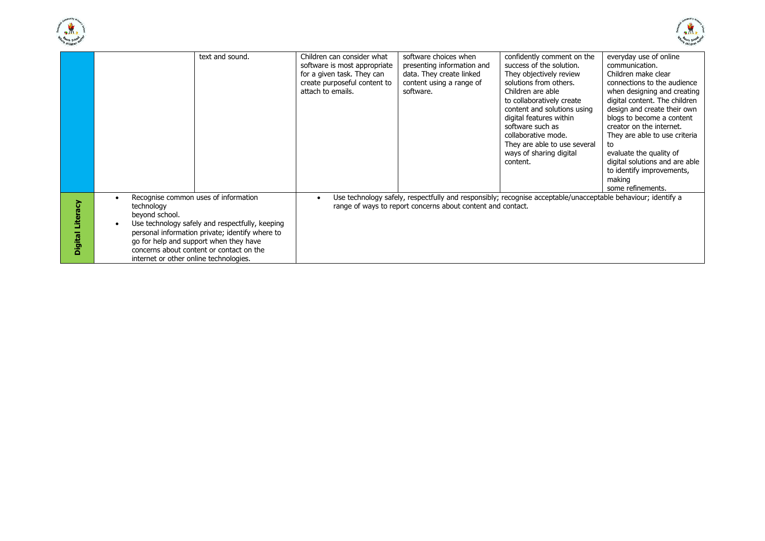



|                           | text and sound.                                                                                                                                                                                                                                                                                                         | Children can consider what<br>software is most appropriate<br>for a given task. They can<br>create purposeful content to<br>attach to emails. | software choices when<br>presenting information and<br>data. They create linked<br>content using a range of<br>software. | confidently comment on the<br>success of the solution.<br>They objectively review<br>solutions from others.<br>Children are able<br>to collaboratively create<br>content and solutions using<br>digital features within<br>software such as<br>collaborative mode.<br>They are able to use several<br>ways of sharing digital<br>content. | everyday use of online<br>communication.<br>Children make clear<br>connections to the audience<br>when designing and creating<br>digital content. The children<br>design and create their own<br>blogs to become a content<br>creator on the internet.<br>They are able to use criteria<br>to<br>evaluate the quality of<br>digital solutions and are able<br>to identify improvements,<br>making |
|---------------------------|-------------------------------------------------------------------------------------------------------------------------------------------------------------------------------------------------------------------------------------------------------------------------------------------------------------------------|-----------------------------------------------------------------------------------------------------------------------------------------------|--------------------------------------------------------------------------------------------------------------------------|-------------------------------------------------------------------------------------------------------------------------------------------------------------------------------------------------------------------------------------------------------------------------------------------------------------------------------------------|---------------------------------------------------------------------------------------------------------------------------------------------------------------------------------------------------------------------------------------------------------------------------------------------------------------------------------------------------------------------------------------------------|
| ζã<br>s<br><b>Digital</b> | Recognise common uses of information<br>$\bullet$<br>technology<br>beyond school.<br>Use technology safely and respectfully, keeping<br>personal information private; identify where to<br>go for help and support when they have<br>concerns about content or contact on the<br>internet or other online technologies. |                                                                                                                                               | range of ways to report concerns about content and contact.                                                              | Use technology safely, respectfully and responsibly; recognise acceptable/unacceptable behaviour; identify a                                                                                                                                                                                                                              | some refinements.                                                                                                                                                                                                                                                                                                                                                                                 |